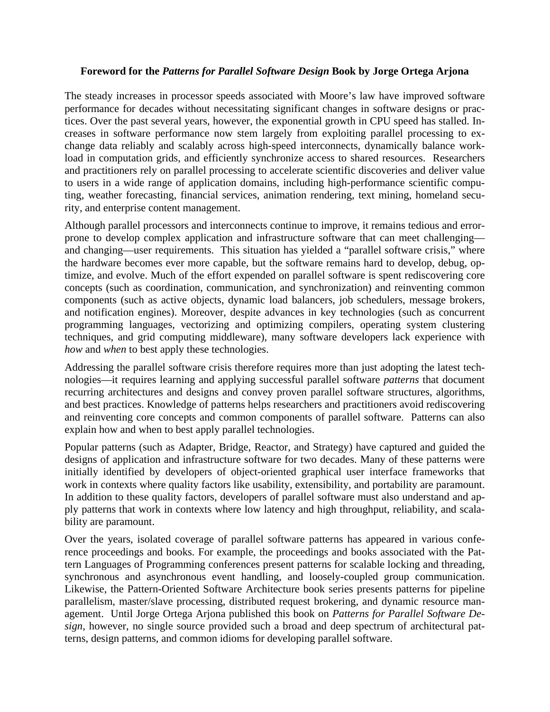## **Foreword for the** *Patterns for Parallel Software Design* **Book by Jorge Ortega Arjona**

The steady increases in processor speeds associated with Moore's law have improved software performance for decades without necessitating significant changes in software designs or practices. Over the past several years, however, the exponential growth in CPU speed has stalled. Increases in software performance now stem largely from exploiting parallel processing to exchange data reliably and scalably across high-speed interconnects, dynamically balance workload in computation grids, and efficiently synchronize access to shared resources. Researchers and practitioners rely on parallel processing to accelerate scientific discoveries and deliver value to users in a wide range of application domains, including high-performance scientific computing, weather forecasting, financial services, animation rendering, text mining, homeland security, and enterprise content management.

Although parallel processors and interconnects continue to improve, it remains tedious and errorprone to develop complex application and infrastructure software that can meet challenging and changing—user requirements. This situation has yielded a "parallel software crisis," where the hardware becomes ever more capable, but the software remains hard to develop, debug, optimize, and evolve. Much of the effort expended on parallel software is spent rediscovering core concepts (such as coordination, communication, and synchronization) and reinventing common components (such as active objects, dynamic load balancers, job schedulers, message brokers, and notification engines). Moreover, despite advances in key technologies (such as concurrent programming languages, vectorizing and optimizing compilers, operating system clustering techniques, and grid computing middleware), many software developers lack experience with *how* and *when* to best apply these technologies.

Addressing the parallel software crisis therefore requires more than just adopting the latest technologies—it requires learning and applying successful parallel software *patterns* that document recurring architectures and designs and convey proven parallel software structures, algorithms, and best practices. Knowledge of patterns helps researchers and practitioners avoid rediscovering and reinventing core concepts and common components of parallel software. Patterns can also explain how and when to best apply parallel technologies.

Popular patterns (such as Adapter, Bridge, Reactor, and Strategy) have captured and guided the designs of application and infrastructure software for two decades. Many of these patterns were initially identified by developers of object-oriented graphical user interface frameworks that work in contexts where quality factors like usability, extensibility, and portability are paramount. In addition to these quality factors, developers of parallel software must also understand and apply patterns that work in contexts where low latency and high throughput, reliability, and scalability are paramount.

Over the years, isolated coverage of parallel software patterns has appeared in various conference proceedings and books. For example, the proceedings and books associated with the Pattern Languages of Programming conferences present patterns for scalable locking and threading, synchronous and asynchronous event handling, and loosely-coupled group communication. Likewise, the Pattern-Oriented Software Architecture book series presents patterns for pipeline parallelism, master/slave processing, distributed request brokering, and dynamic resource management. Until Jorge Ortega Arjona published this book on *Patterns for Parallel Software Design*, however, no single source provided such a broad and deep spectrum of architectural patterns, design patterns, and common idioms for developing parallel software.